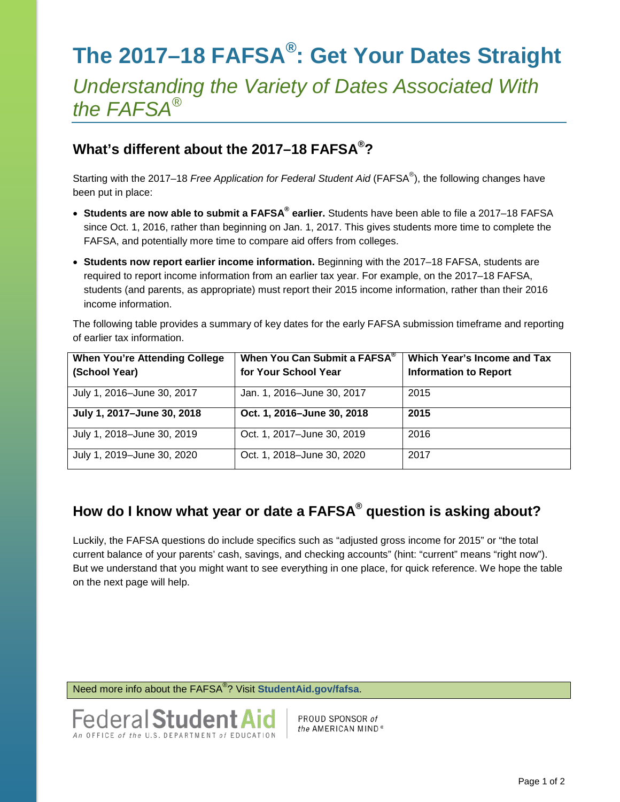## **The 2017–18 FAFSA®: Get Your Dates Straight**

*Understanding the Variety of Dates Associated With the FAFSA®*

## **What's different about the 2017–18 FAFSA®?**

Starting with the 2017–18 *Free Application for Federal Student Aid* (FAFSA® ), the following changes have been put in place:

- **Students are now able to submit a FAFSA® earlier.** Students have been able to file a 2017–18 FAFSA since Oct. 1, 2016, rather than beginning on Jan. 1, 2017. This gives students more time to complete the FAFSA, and potentially more time to compare aid offers from colleges.
- **Students now report earlier income information.** Beginning with the 2017–18 FAFSA, students are required to report income information from an earlier tax year. For example, on the 2017–18 FAFSA, students (and parents, as appropriate) must report their 2015 income information, rather than their 2016 income information.

The following table provides a summary of key dates for the early FAFSA submission timeframe and reporting of earlier tax information.

| <b>When You're Attending College</b> | When You Can Submit a FAFSA <sup>®</sup> | Which Year's Income and Tax  |  |
|--------------------------------------|------------------------------------------|------------------------------|--|
| (School Year)                        | for Your School Year                     | <b>Information to Report</b> |  |
| July 1, 2016-June 30, 2017           | Jan. 1, 2016-June 30, 2017               | 2015                         |  |
| July 1, 2017-June 30, 2018           | Oct. 1, 2016-June 30, 2018               | 2015                         |  |
| July 1, 2018-June 30, 2019           | Oct. 1, 2017-June 30, 2019               | 2016                         |  |
| July 1, 2019-June 30, 2020           | Oct. 1, 2018-June 30, 2020               | 2017                         |  |

## **How do I know what year or date a FAFSA® question is asking about?**

Luckily, the FAFSA questions do include specifics such as "adjusted gross income for 2015" or "the total current balance of your parents' cash, savings, and checking accounts" (hint: "current" means "right now"). But we understand that you might want to see everything in one place, for quick reference. We hope the table on the next page will help.

Need more info about the FAFSA® ? Visit **[StudentAid.gov/fafsa](https://studentaid.ed.gov/sa/fafsa)**.



PROUD SPONSOR of the AMERICAN MIND<sup>®</sup>